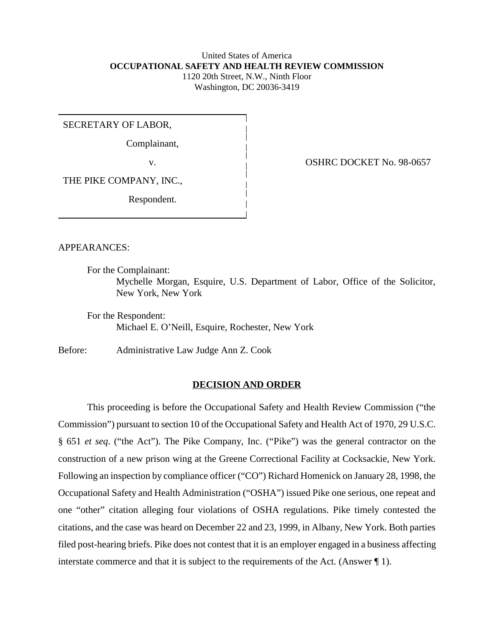## United States of America **OCCUPATIONAL SAFETY AND HEALTH REVIEW COMMISSION** 1120 20th Street, N.W., Ninth Floor Washington, DC 20036-3419

SECRETARY OF LABOR,

Complainant,

THE PIKE COMPANY, INC.,

Respondent.

v. COSHRC DOCKET No. 98-0657

APPEARANCES:

For the Complainant:

Mychelle Morgan, Esquire, U.S. Department of Labor, Office of the Solicitor, New York, New York

For the Respondent: Michael E. O'Neill, Esquire, Rochester, New York

Before: Administrative Law Judge Ann Z. Cook

# **DECISION AND ORDER**

This proceeding is before the Occupational Safety and Health Review Commission ("the Commission") pursuant to section 10 of the Occupational Safety and Health Act of 1970, 29 U.S.C. § 651 *et seq*. ("the Act"). The Pike Company, Inc. ("Pike") was the general contractor on the construction of a new prison wing at the Greene Correctional Facility at Cocksackie, New York. Following an inspection by compliance officer ("CO") Richard Homenick on January 28, 1998, the Occupational Safety and Health Administration ("OSHA") issued Pike one serious, one repeat and one "other" citation alleging four violations of OSHA regulations. Pike timely contested the citations, and the case was heard on December 22 and 23, 1999, in Albany, New York. Both parties filed post-hearing briefs. Pike does not contest that it is an employer engaged in a business affecting interstate commerce and that it is subject to the requirements of the Act. (Answer ¶ 1).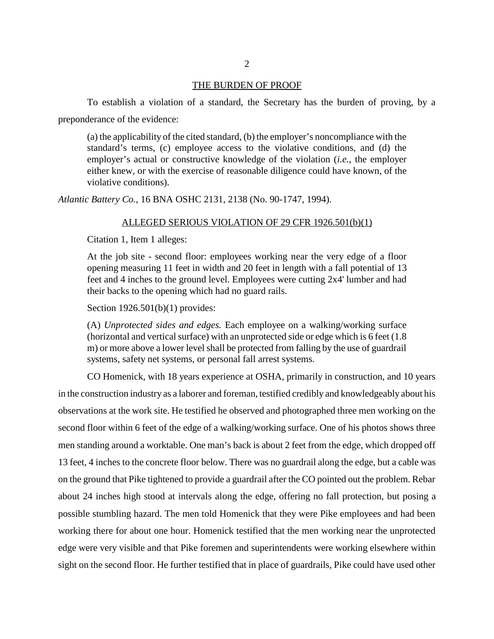#### THE BURDEN OF PROOF

To establish a violation of a standard, the Secretary has the burden of proving, by a preponderance of the evidence:

(a) the applicability of the cited standard, (b) the employer's noncompliance with the standard's terms, (c) employee access to the violative conditions, and (d) the employer's actual or constructive knowledge of the violation (*i.e.*, the employer either knew, or with the exercise of reasonable diligence could have known, of the violative conditions).

*Atlantic Battery Co.,* 16 BNA OSHC 2131, 2138 (No. 90-1747, 1994).

#### ALLEGED SERIOUS VIOLATION OF 29 CFR 1926.501(b)(1)

Citation 1, Item 1 alleges:

At the job site - second floor: employees working near the very edge of a floor opening measuring 11 feet in width and 20 feet in length with a fall potential of 13 feet and 4 inches to the ground level. Employees were cutting 2x4' lumber and had their backs to the opening which had no guard rails.

Section 1926.501(b)(1) provides:

(A) *Unprotected sides and edges.* Each employee on a walking/working surface (horizontal and vertical surface) with an unprotected side or edge which is 6 feet (1.8 m) or more above a lower level shall be protected from falling by the use of guardrail systems, safety net systems, or personal fall arrest systems.

CO Homenick, with 18 years experience at OSHA, primarily in construction, and 10 years in the construction industry as a laborer and foreman, testified credibly and knowledgeably about his observations at the work site. He testified he observed and photographed three men working on the second floor within 6 feet of the edge of a walking/working surface. One of his photos shows three men standing around a worktable. One man's back is about 2 feet from the edge, which dropped off 13 feet, 4 inches to the concrete floor below. There was no guardrail along the edge, but a cable was on the ground that Pike tightened to provide a guardrail after the CO pointed out the problem. Rebar about 24 inches high stood at intervals along the edge, offering no fall protection, but posing a possible stumbling hazard. The men told Homenick that they were Pike employees and had been working there for about one hour. Homenick testified that the men working near the unprotected edge were very visible and that Pike foremen and superintendents were working elsewhere within sight on the second floor. He further testified that in place of guardrails, Pike could have used other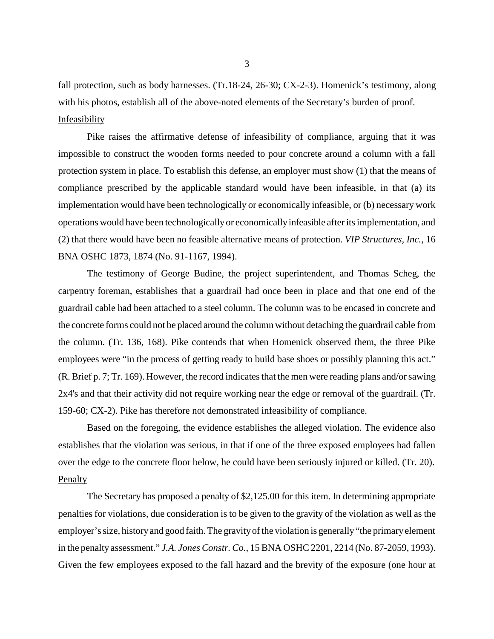fall protection, such as body harnesses. (Tr.18-24, 26-30; CX-2-3). Homenick's testimony, along with his photos, establish all of the above-noted elements of the Secretary's burden of proof. **Infeasibility** 

Pike raises the affirmative defense of infeasibility of compliance, arguing that it was impossible to construct the wooden forms needed to pour concrete around a column with a fall protection system in place. To establish this defense, an employer must show (1) that the means of compliance prescribed by the applicable standard would have been infeasible, in that (a) its implementation would have been technologically or economically infeasible, or (b) necessary work operations would have been technologically or economically infeasible after its implementation, and (2) that there would have been no feasible alternative means of protection. *VIP Structures, Inc.*, 16 BNA OSHC 1873, 1874 (No. 91-1167, 1994).

The testimony of George Budine, the project superintendent, and Thomas Scheg, the carpentry foreman, establishes that a guardrail had once been in place and that one end of the guardrail cable had been attached to a steel column. The column was to be encased in concrete and the concrete forms could not be placed around the column without detaching the guardrail cable from the column. (Tr. 136, 168). Pike contends that when Homenick observed them, the three Pike employees were "in the process of getting ready to build base shoes or possibly planning this act." (R. Brief p. 7; Tr. 169). However, the record indicates that the men were reading plans and/or sawing 2x4's and that their activity did not require working near the edge or removal of the guardrail. (Tr. 159-60; CX-2). Pike has therefore not demonstrated infeasibility of compliance.

Based on the foregoing, the evidence establishes the alleged violation. The evidence also establishes that the violation was serious, in that if one of the three exposed employees had fallen over the edge to the concrete floor below, he could have been seriously injured or killed. (Tr. 20). **Penalty** 

The Secretary has proposed a penalty of \$2,125.00 for this item. In determining appropriate penalties for violations, due consideration is to be given to the gravity of the violation as well as the employer's size, history and good faith. The gravity of the violation is generally "the primary element in the penalty assessment." *J.A. Jones Constr. Co.*, 15 BNA OSHC 2201, 2214 (No. 87-2059, 1993). Given the few employees exposed to the fall hazard and the brevity of the exposure (one hour at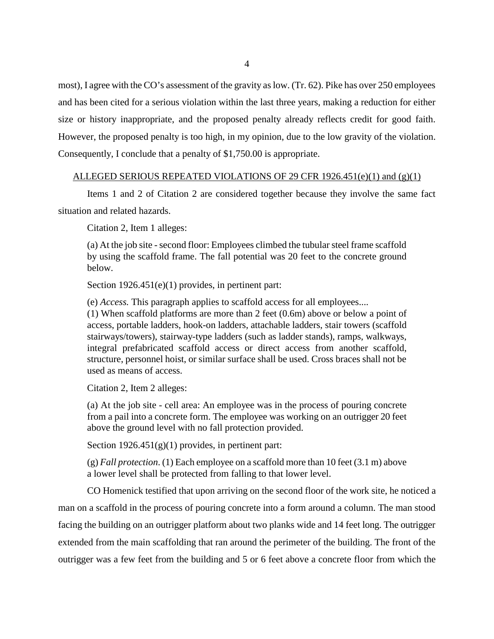most), I agree with the CO's assessment of the gravity as low. (Tr. 62). Pike has over 250 employees and has been cited for a serious violation within the last three years, making a reduction for either size or history inappropriate, and the proposed penalty already reflects credit for good faith. However, the proposed penalty is too high, in my opinion, due to the low gravity of the violation. Consequently, I conclude that a penalty of \$1,750.00 is appropriate.

### ALLEGED SERIOUS REPEATED VIOLATIONS OF 29 CFR  $1926.451(e)(1)$  and  $(g)(1)$

Items 1 and 2 of Citation 2 are considered together because they involve the same fact situation and related hazards.

Citation 2, Item 1 alleges:

(a) At the job site - second floor: Employees climbed the tubular steel frame scaffold by using the scaffold frame. The fall potential was 20 feet to the concrete ground below.

Section 1926.451(e)(1) provides, in pertinent part:

(e) *Access.* This paragraph applies to scaffold access for all employees....

(1) When scaffold platforms are more than 2 feet (0.6m) above or below a point of access, portable ladders, hook-on ladders, attachable ladders, stair towers (scaffold stairways/towers), stairway-type ladders (such as ladder stands), ramps, walkways, integral prefabricated scaffold access or direct access from another scaffold, structure, personnel hoist, or similar surface shall be used. Cross braces shall not be used as means of access.

Citation 2, Item 2 alleges:

(a) At the job site - cell area: An employee was in the process of pouring concrete from a pail into a concrete form. The employee was working on an outrigger 20 feet above the ground level with no fall protection provided.

Section 1926.451(g)(1) provides, in pertinent part:

(g) *Fall protection*. (1) Each employee on a scaffold more than 10 feet (3.1 m) above a lower level shall be protected from falling to that lower level.

CO Homenick testified that upon arriving on the second floor of the work site, he noticed a man on a scaffold in the process of pouring concrete into a form around a column. The man stood facing the building on an outrigger platform about two planks wide and 14 feet long. The outrigger extended from the main scaffolding that ran around the perimeter of the building. The front of the outrigger was a few feet from the building and 5 or 6 feet above a concrete floor from which the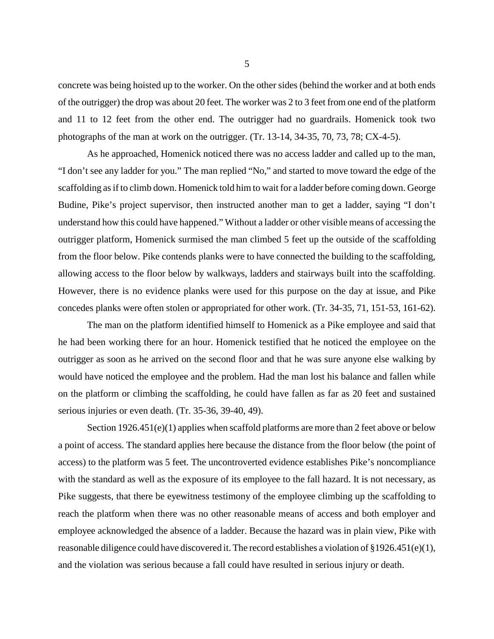concrete was being hoisted up to the worker. On the other sides (behind the worker and at both ends of the outrigger) the drop was about 20 feet. The worker was 2 to 3 feet from one end of the platform and 11 to 12 feet from the other end. The outrigger had no guardrails. Homenick took two photographs of the man at work on the outrigger. (Tr. 13-14, 34-35, 70, 73, 78; CX-4-5).

As he approached, Homenick noticed there was no access ladder and called up to the man, "I don't see any ladder for you." The man replied "No," and started to move toward the edge of the scaffolding as if to climb down. Homenick told him to wait for a ladder before coming down. George Budine, Pike's project supervisor, then instructed another man to get a ladder, saying "I don't understand how this could have happened." Without a ladder or other visible means of accessing the outrigger platform, Homenick surmised the man climbed 5 feet up the outside of the scaffolding from the floor below. Pike contends planks were to have connected the building to the scaffolding, allowing access to the floor below by walkways, ladders and stairways built into the scaffolding. However, there is no evidence planks were used for this purpose on the day at issue, and Pike concedes planks were often stolen or appropriated for other work. (Tr. 34-35, 71, 151-53, 161-62).

The man on the platform identified himself to Homenick as a Pike employee and said that he had been working there for an hour. Homenick testified that he noticed the employee on the outrigger as soon as he arrived on the second floor and that he was sure anyone else walking by would have noticed the employee and the problem. Had the man lost his balance and fallen while on the platform or climbing the scaffolding, he could have fallen as far as 20 feet and sustained serious injuries or even death. (Tr. 35-36, 39-40, 49).

Section 1926.451(e)(1) applies when scaffold platforms are more than 2 feet above or below a point of access. The standard applies here because the distance from the floor below (the point of access) to the platform was 5 feet. The uncontroverted evidence establishes Pike's noncompliance with the standard as well as the exposure of its employee to the fall hazard. It is not necessary, as Pike suggests, that there be eyewitness testimony of the employee climbing up the scaffolding to reach the platform when there was no other reasonable means of access and both employer and employee acknowledged the absence of a ladder. Because the hazard was in plain view, Pike with reasonable diligence could have discovered it. The record establishes a violation of §1926.451(e)(1), and the violation was serious because a fall could have resulted in serious injury or death.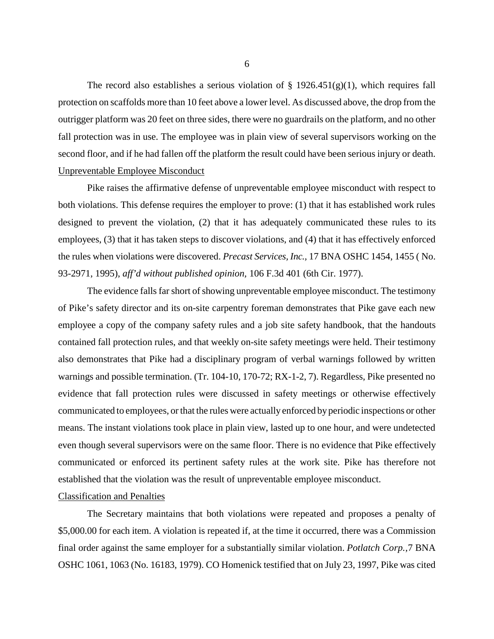The record also establishes a serious violation of  $\S$  1926.451(g)(1), which requires fall protection on scaffolds more than 10 feet above a lower level. As discussed above, the drop from the outrigger platform was 20 feet on three sides, there were no guardrails on the platform, and no other fall protection was in use. The employee was in plain view of several supervisors working on the second floor, and if he had fallen off the platform the result could have been serious injury or death. Unpreventable Employee Misconduct

Pike raises the affirmative defense of unpreventable employee misconduct with respect to both violations. This defense requires the employer to prove: (1) that it has established work rules designed to prevent the violation, (2) that it has adequately communicated these rules to its employees, (3) that it has taken steps to discover violations, and (4) that it has effectively enforced the rules when violations were discovered. *Precast Services, Inc.,* 17 BNA OSHC 1454, 1455 ( No. 93-2971, 1995), *aff'd without published opinion,* 106 F.3d 401 (6th Cir. 1977).

The evidence falls far short of showing unpreventable employee misconduct. The testimony of Pike's safety director and its on-site carpentry foreman demonstrates that Pike gave each new employee a copy of the company safety rules and a job site safety handbook, that the handouts contained fall protection rules, and that weekly on-site safety meetings were held. Their testimony also demonstrates that Pike had a disciplinary program of verbal warnings followed by written warnings and possible termination. (Tr. 104-10, 170-72; RX-1-2, 7). Regardless, Pike presented no evidence that fall protection rules were discussed in safety meetings or otherwise effectively communicated to employees, or that the rules were actually enforced by periodic inspections or other means. The instant violations took place in plain view, lasted up to one hour, and were undetected even though several supervisors were on the same floor. There is no evidence that Pike effectively communicated or enforced its pertinent safety rules at the work site. Pike has therefore not established that the violation was the result of unpreventable employee misconduct.

# Classification and Penalties

The Secretary maintains that both violations were repeated and proposes a penalty of \$5,000.00 for each item. A violation is repeated if, at the time it occurred, there was a Commission final order against the same employer for a substantially similar violation. *Potlatch Corp.,*7 BNA OSHC 1061, 1063 (No. 16183, 1979). CO Homenick testified that on July 23, 1997, Pike was cited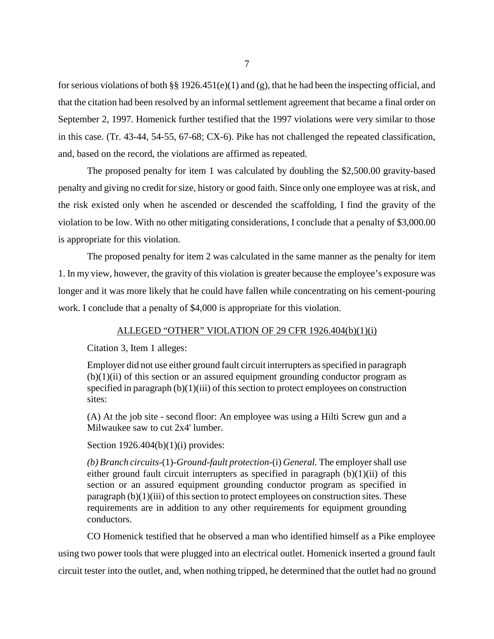for serious violations of both §§ 1926.451(e)(1) and (g), that he had been the inspecting official, and that the citation had been resolved by an informal settlement agreement that became a final order on September 2, 1997. Homenick further testified that the 1997 violations were very similar to those in this case. (Tr. 43-44, 54-55, 67-68; CX-6). Pike has not challenged the repeated classification, and, based on the record, the violations are affirmed as repeated.

The proposed penalty for item 1 was calculated by doubling the \$2,500.00 gravity-based penalty and giving no credit for size, history or good faith. Since only one employee was at risk, and the risk existed only when he ascended or descended the scaffolding, I find the gravity of the violation to be low. With no other mitigating considerations, I conclude that a penalty of \$3,000.00 is appropriate for this violation.

The proposed penalty for item 2 was calculated in the same manner as the penalty for item 1. In my view, however, the gravity of this violation is greater because the employee's exposure was longer and it was more likely that he could have fallen while concentrating on his cement-pouring work. I conclude that a penalty of \$4,000 is appropriate for this violation.

#### ALLEGED "OTHER" VIOLATION OF 29 CFR 1926.404(b)(1)(i)

Citation 3, Item 1 alleges:

Employer did not use either ground fault circuit interrupters as specified in paragraph  $(b)(1)(ii)$  of this section or an assured equipment grounding conductor program as specified in paragraph (b)(1)(iii) of this section to protect employees on construction sites:

(A) At the job site - second floor: An employee was using a Hilti Screw gun and a Milwaukee saw to cut 2x4' lumber.

Section  $1926.404(b)(1)(i)$  provides:

*(b) Branch circuits-*(1)*-Ground-fault protection*-(i) *General.* The employer shall use either ground fault circuit interrupters as specified in paragraph  $(b)(1)(ii)$  of this section or an assured equipment grounding conductor program as specified in paragraph (b)(1)(iii) of this section to protect employees on construction sites. These requirements are in addition to any other requirements for equipment grounding conductors.

CO Homenick testified that he observed a man who identified himself as a Pike employee using two power tools that were plugged into an electrical outlet. Homenick inserted a ground fault circuit tester into the outlet, and, when nothing tripped, he determined that the outlet had no ground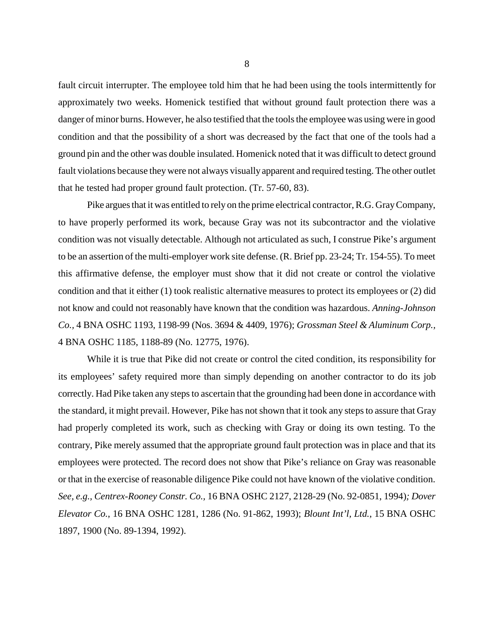fault circuit interrupter. The employee told him that he had been using the tools intermittently for approximately two weeks. Homenick testified that without ground fault protection there was a danger of minor burns. However, he also testified that the tools the employee was using were in good condition and that the possibility of a short was decreased by the fact that one of the tools had a ground pin and the other was double insulated. Homenick noted that it was difficult to detect ground fault violations because they were not always visually apparent and required testing. The other outlet that he tested had proper ground fault protection. (Tr. 57-60, 83).

Pike argues that it was entitled to rely on the prime electrical contractor, R.G. Gray Company, to have properly performed its work, because Gray was not its subcontractor and the violative condition was not visually detectable. Although not articulated as such, I construe Pike's argument to be an assertion of the multi-employer work site defense. (R. Brief pp. 23-24; Tr. 154-55). To meet this affirmative defense, the employer must show that it did not create or control the violative condition and that it either (1) took realistic alternative measures to protect its employees or (2) did not know and could not reasonably have known that the condition was hazardous. *Anning-Johnson Co.,* 4 BNA OSHC 1193, 1198-99 (Nos. 3694 & 4409, 1976); *Grossman Steel & Aluminum Corp.,* 4 BNA OSHC 1185, 1188-89 (No. 12775, 1976).

While it is true that Pike did not create or control the cited condition, its responsibility for its employees' safety required more than simply depending on another contractor to do its job correctly. Had Pike taken any steps to ascertain that the grounding had been done in accordance with the standard, it might prevail. However, Pike has not shown that it took any steps to assure that Gray had properly completed its work, such as checking with Gray or doing its own testing. To the contrary, Pike merely assumed that the appropriate ground fault protection was in place and that its employees were protected. The record does not show that Pike's reliance on Gray was reasonable or that in the exercise of reasonable diligence Pike could not have known of the violative condition. *See, e.g., Centrex-Rooney Constr. Co.,* 16 BNA OSHC 2127, 2128-29 (No. 92-0851, 1994)*; Dover Elevator Co.*, 16 BNA OSHC 1281, 1286 (No. 91-862, 1993); *Blount Int'l, Ltd.*, 15 BNA OSHC 1897, 1900 (No. 89-1394, 1992).